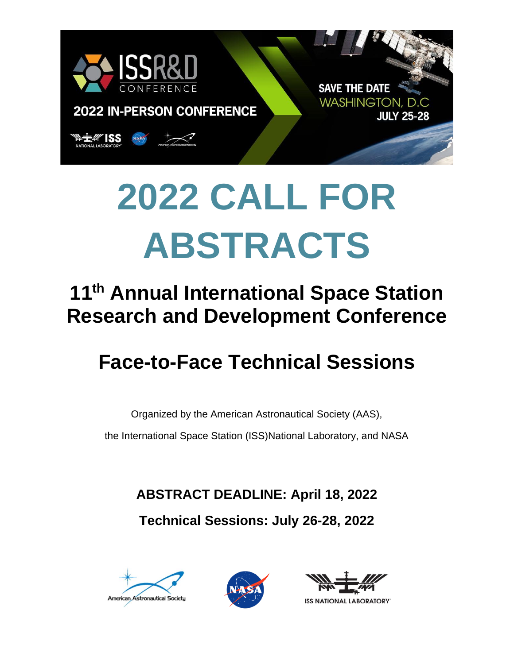

# **2022 CALL FOR ABSTRACTS**

## **11th Annual International Space Station Research and Development Conference**

## **Face-to-Face Technical Sessions**

Organized by the American Astronautical Society (AAS),

the International Space Station (ISS)National Laboratory, and NASA

**ABSTRACT DEADLINE: April 18, 2022**

**Technical Sessions: July 26-28, 2022**







**ISS NATIONAL LABORATORY**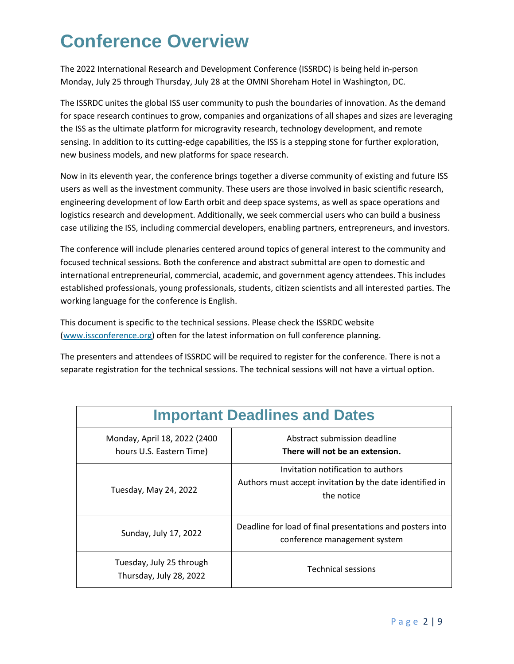## **Conference Overview**

The 2022 International Research and Development Conference (ISSRDC) is being held in-person Monday, July 25 through Thursday, July 28 at the OMNI Shoreham Hotel in Washington, DC.

The ISSRDC unites the global ISS user community to push the boundaries of innovation. As the demand for space research continues to grow, companies and organizations of all shapes and sizes are leveraging the ISS as the ultimate platform for microgravity research, technology development, and remote sensing. In addition to its cutting-edge capabilities, the ISS is a stepping stone for further exploration, new business models, and new platforms for space research.

Now in its eleventh year, the conference brings together a diverse community of existing and future ISS users as well as the investment community. These users are those involved in basic scientific research, engineering development of low Earth orbit and deep space systems, as well as space operations and logistics research and development. Additionally, we seek commercial users who can build a business case utilizing the ISS, including commercial developers, enabling partners, entrepreneurs, and investors.

The conference will include plenaries centered around topics of general interest to the community and focused technical sessions. Both the conference and abstract submittal are open to domestic and international entrepreneurial, commercial, academic, and government agency attendees. This includes established professionals, young professionals, students, citizen scientists and all interested parties. The working language for the conference is English.

This document is specific to the technical sessions. Please check the ISSRDC website [\(www.issconference.org\)](http://www.issconference.org/) often for the latest information on full conference planning.

The presenters and attendees of ISSRDC will be required to register for the conference. There is not a separate registration for the technical sessions. The technical sessions will not have a virtual option.

| <b>Important Deadlines and Dates</b>                     |                                                                                                              |
|----------------------------------------------------------|--------------------------------------------------------------------------------------------------------------|
| Monday, April 18, 2022 (2400<br>hours U.S. Eastern Time) | Abstract submission deadline<br>There will not be an extension.                                              |
| Tuesday, May 24, 2022                                    | Invitation notification to authors<br>Authors must accept invitation by the date identified in<br>the notice |
| Sunday, July 17, 2022                                    | Deadline for load of final presentations and posters into<br>conference management system                    |
| Tuesday, July 25 through<br>Thursday, July 28, 2022      | <b>Technical sessions</b>                                                                                    |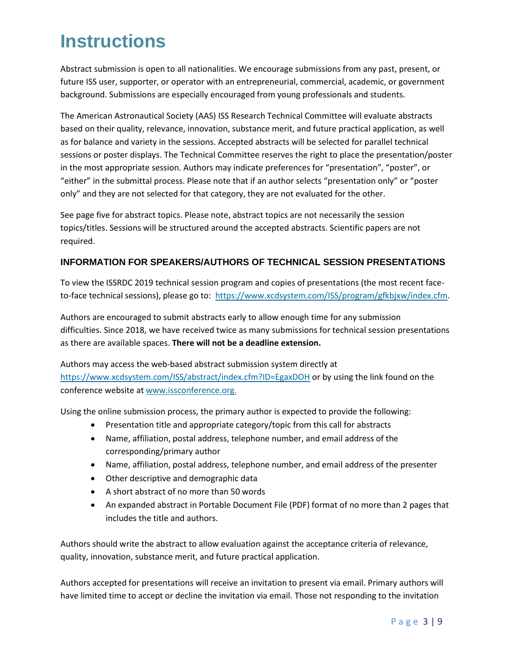## **Instructions**

Abstract submission is open to all nationalities. We encourage submissions from any past, present, or future ISS user, supporter, or operator with an entrepreneurial, commercial, academic, or government background. Submissions are especially encouraged from young professionals and students.

The American Astronautical Society (AAS) ISS Research Technical Committee will evaluate abstracts based on their quality, relevance, innovation, substance merit, and future practical application, as well as for balance and variety in the sessions. Accepted abstracts will be selected for parallel technical sessions or poster displays. The Technical Committee reserves the right to place the presentation/poster in the most appropriate session. Authors may indicate preferences for "presentation", "poster", or "either" in the submittal process. Please note that if an author selects "presentation only" or "poster only" and they are not selected for that category, they are not evaluated for the other.

See page five for abstract topics. Please note, abstract topics are not necessarily the session topics/titles. Sessions will be structured around the accepted abstracts. Scientific papers are not required.

#### **INFORMATION FOR SPEAKERS/AUTHORS OF TECHNICAL SESSION PRESENTATIONS**

To view the ISSRDC 2019 technical session program and copies of presentations (the most recent faceto-face technical sessions), please go to: [https://www.xcdsystem.com/ISS/program/gfkbjxw/index.cfm.](https://www.xcdsystem.com/ISS/program/gfkbjxw/index.cfm)

Authors are encouraged to submit abstracts early to allow enough time for any submission difficulties. Since 2018, we have received twice as many submissions for technical session presentations as there are available spaces. **There will not be a deadline extension.**

Authors may access the web-based abstract submission system directly at <https://www.xcdsystem.com/ISS/abstract/index.cfm?ID=EgaxDOH> or by using the link found on the conference website at [www.issconference.org.](http://www.issconference.org/)

Using the online submission process, the primary author is expected to provide the following:

- Presentation title and appropriate category/topic from this call for abstracts
- Name, affiliation, postal address, telephone number, and email address of the corresponding/primary author
- Name, affiliation, postal address, telephone number, and email address of the presenter
- Other descriptive and demographic data
- A short abstract of no more than 50 words
- An expanded abstract in Portable Document File (PDF) format of no more than 2 pages that includes the title and authors.

Authors should write the abstract to allow evaluation against the acceptance criteria of relevance, quality, innovation, substance merit, and future practical application.

Authors accepted for presentations will receive an invitation to present via email. Primary authors will have limited time to accept or decline the invitation via email. Those not responding to the invitation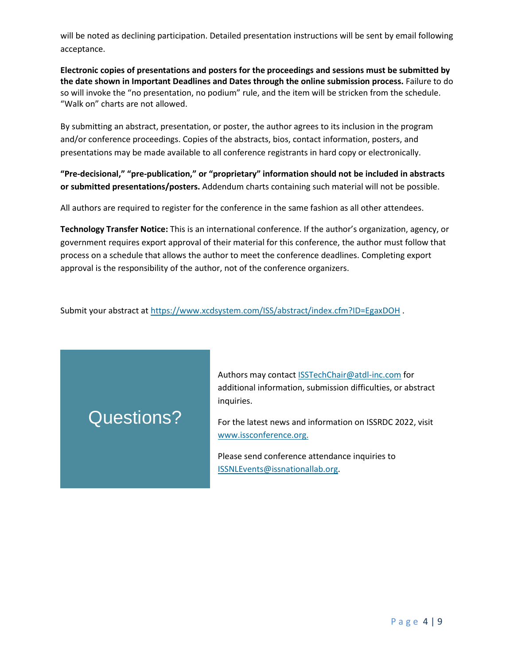will be noted as declining participation. Detailed presentation instructions will be sent by email following acceptance.

**Electronic copies of presentations and posters for the proceedings and sessions must be submitted by the date shown in Important Deadlines and Dates through the online submission process.** Failure to do so will invoke the "no presentation, no podium" rule, and the item will be stricken from the schedule. "Walk on" charts are not allowed.

By submitting an abstract, presentation, or poster, the author agrees to its inclusion in the program and/or conference proceedings. Copies of the abstracts, bios, contact information, posters, and presentations may be made available to all conference registrants in hard copy or electronically.

**"Pre-decisional," "pre-publication," or "proprietary" information should not be included in abstracts or submitted presentations/posters.** Addendum charts containing such material will not be possible.

All authors are required to register for the conference in the same fashion as all other attendees.

**Technology Transfer Notice:** This is an international conference. If the author's organization, agency, or government requires export approval of their material for this conference, the author must follow that process on a schedule that allows the author to meet the conference deadlines. Completing export approval is the responsibility of the author, not of the conference organizers.

Submit your abstract at<https://www.xcdsystem.com/ISS/abstract/index.cfm?ID=EgaxDOH> .

## Questions?

Authors may contact [ISSTechChair@atdl-inc.com](mailto:ISSTechChair@atdl-inc.com) for additional information, submission difficulties, or abstract inquiries.

For the latest news and information on ISSRDC 2022, visit [www.issconference.org.](http://www.issconference.org/)

Please send conference attendance inquiries to [ISSNLEvents@issnationallab.org.](mailto:ISSNLEvents@issnationallab.org)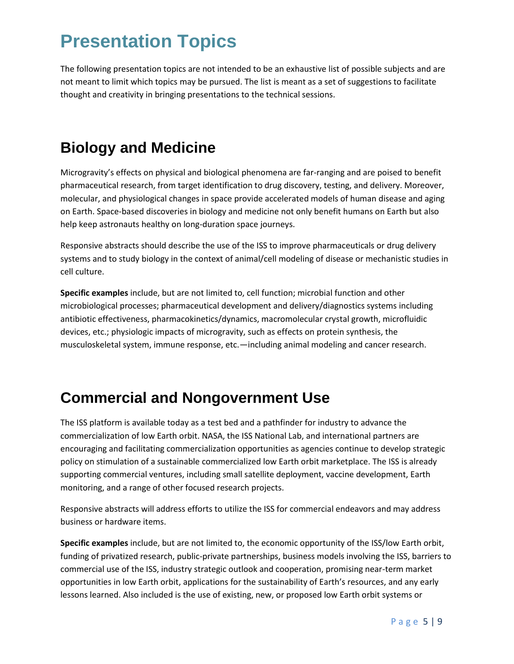## **Presentation Topics**

The following presentation topics are not intended to be an exhaustive list of possible subjects and are not meant to limit which topics may be pursued. The list is meant as a set of suggestions to facilitate thought and creativity in bringing presentations to the technical sessions.

#### **Biology and Medicine**

Microgravity's effects on physical and biological phenomena are far-ranging and are poised to benefit pharmaceutical research, from target identification to drug discovery, testing, and delivery. Moreover, molecular, and physiological changes in space provide accelerated models of human disease and aging on Earth. Space-based discoveries in biology and medicine not only benefit humans on Earth but also help keep astronauts healthy on long-duration space journeys.

Responsive abstracts should describe the use of the ISS to improve pharmaceuticals or drug delivery systems and to study biology in the context of animal/cell modeling of disease or mechanistic studies in cell culture.

**Specific examples** include, but are not limited to, cell function; microbial function and other microbiological processes; pharmaceutical development and delivery/diagnostics systems including antibiotic effectiveness, pharmacokinetics/dynamics, macromolecular crystal growth, microfluidic devices, etc.; physiologic impacts of microgravity, such as effects on protein synthesis, the musculoskeletal system, immune response, etc.—including animal modeling and cancer research.

#### **Commercial and Nongovernment Use**

The ISS platform is available today as a test bed and a pathfinder for industry to advance the commercialization of low Earth orbit. NASA, the ISS National Lab, and international partners are encouraging and facilitating commercialization opportunities as agencies continue to develop strategic policy on stimulation of a sustainable commercialized low Earth orbit marketplace. The ISS is already supporting commercial ventures, including small satellite deployment, vaccine development, Earth monitoring, and a range of other focused research projects.

Responsive abstracts will address efforts to utilize the ISS for commercial endeavors and may address business or hardware items.

**Specific examples** include, but are not limited to, the economic opportunity of the ISS/low Earth orbit, funding of privatized research, public-private partnerships, business models involving the ISS, barriers to commercial use of the ISS, industry strategic outlook and cooperation, promising near-term market opportunities in low Earth orbit, applications for the sustainability of Earth's resources, and any early lessons learned. Also included is the use of existing, new, or proposed low Earth orbit systems or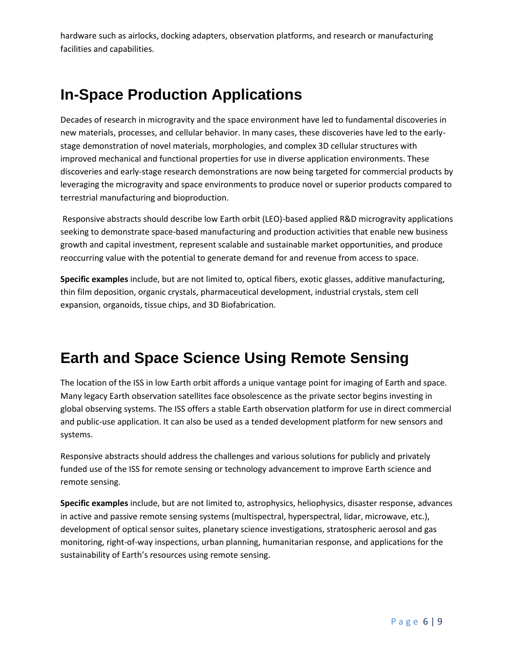hardware such as airlocks, docking adapters, observation platforms, and research or manufacturing facilities and capabilities.

#### **In-Space Production Applications**

Decades of research in microgravity and the space environment have led to fundamental discoveries in new materials, processes, and cellular behavior. In many cases, these discoveries have led to the earlystage demonstration of novel materials, morphologies, and complex 3D cellular structures with improved mechanical and functional properties for use in diverse application environments. These discoveries and early-stage research demonstrations are now being targeted for commercial products by leveraging the microgravity and space environments to produce novel or superior products compared to terrestrial manufacturing and bioproduction.

Responsive abstracts should describe low Earth orbit (LEO)-based applied R&D microgravity applications seeking to demonstrate space-based manufacturing and production activities that enable new business growth and capital investment, represent scalable and sustainable market opportunities, and produce reoccurring value with the potential to generate demand for and revenue from access to space.

**Specific examples** include, but are not limited to, optical fibers, exotic glasses, additive manufacturing, thin film deposition, organic crystals, pharmaceutical development, industrial crystals, stem cell expansion, organoids, tissue chips, and 3D Biofabrication.

#### **Earth and Space Science Using Remote Sensing**

The location of the ISS in low Earth orbit affords a unique vantage point for imaging of Earth and space. Many legacy Earth observation satellites face obsolescence as the private sector begins investing in global observing systems. The ISS offers a stable Earth observation platform for use in direct commercial and public-use application. It can also be used as a tended development platform for new sensors and systems.

Responsive abstracts should address the challenges and various solutions for publicly and privately funded use of the ISS for remote sensing or technology advancement to improve Earth science and remote sensing.

**Specific examples** include, but are not limited to, astrophysics, heliophysics, disaster response, advances in active and passive remote sensing systems (multispectral, hyperspectral, lidar, microwave, etc.), development of optical sensor suites, planetary science investigations, stratospheric aerosol and gas monitoring, right-of-way inspections, urban planning, humanitarian response, and applications for the sustainability of Earth's resources using remote sensing.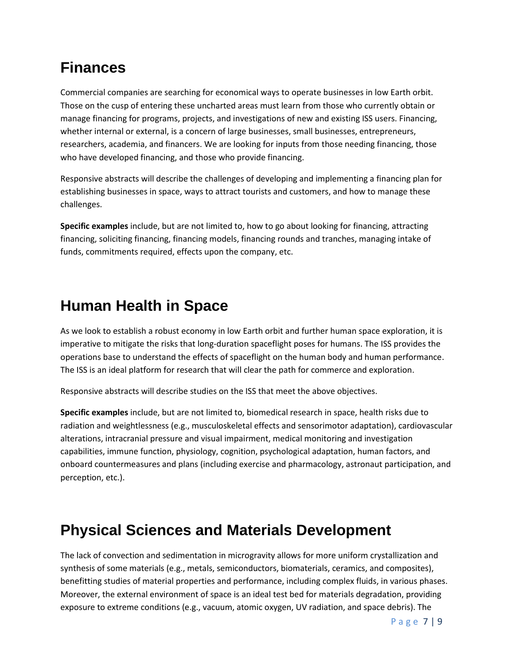#### **Finances**

Commercial companies are searching for economical ways to operate businesses in low Earth orbit. Those on the cusp of entering these uncharted areas must learn from those who currently obtain or manage financing for programs, projects, and investigations of new and existing ISS users. Financing, whether internal or external, is a concern of large businesses, small businesses, entrepreneurs, researchers, academia, and financers. We are looking for inputs from those needing financing, those who have developed financing, and those who provide financing.

Responsive abstracts will describe the challenges of developing and implementing a financing plan for establishing businesses in space, ways to attract tourists and customers, and how to manage these challenges.

**Specific examples** include, but are not limited to, how to go about looking for financing, attracting financing, soliciting financing, financing models, financing rounds and tranches, managing intake of funds, commitments required, effects upon the company, etc.

#### **Human Health in Space**

As we look to establish a robust economy in low Earth orbit and further human space exploration, it is imperative to mitigate the risks that long-duration spaceflight poses for humans. The ISS provides the operations base to understand the effects of spaceflight on the human body and human performance. The ISS is an ideal platform for research that will clear the path for commerce and exploration.

Responsive abstracts will describe studies on the ISS that meet the above objectives.

**Specific examples** include, but are not limited to, biomedical research in space, health risks due to radiation and weightlessness (e.g., musculoskeletal effects and sensorimotor adaptation), cardiovascular alterations, intracranial pressure and visual impairment, medical monitoring and investigation capabilities, immune function, physiology, cognition, psychological adaptation, human factors, and onboard countermeasures and plans (including exercise and pharmacology, astronaut participation, and perception, etc.).

#### **Physical Sciences and Materials Development**

The lack of convection and sedimentation in microgravity allows for more uniform crystallization and synthesis of some materials (e.g., metals, semiconductors, biomaterials, ceramics, and composites), benefitting studies of material properties and performance, including complex fluids, in various phases. Moreover, the external environment of space is an ideal test bed for materials degradation, providing exposure to extreme conditions (e.g., vacuum, atomic oxygen, UV radiation, and space debris). The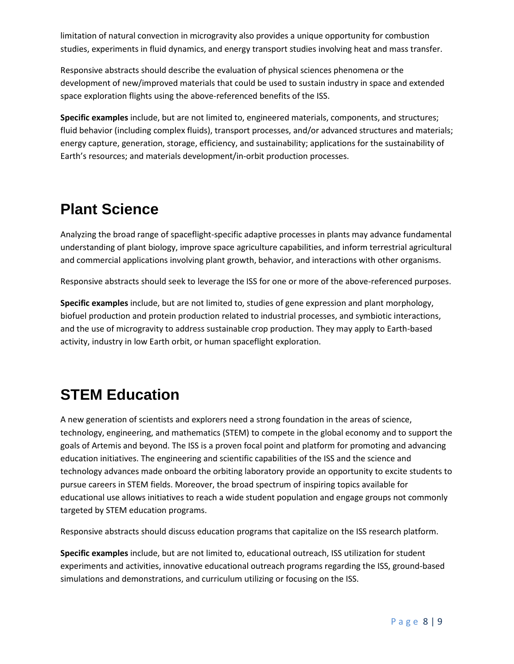limitation of natural convection in microgravity also provides a unique opportunity for combustion studies, experiments in fluid dynamics, and energy transport studies involving heat and mass transfer.

Responsive abstracts should describe the evaluation of physical sciences phenomena or the development of new/improved materials that could be used to sustain industry in space and extended space exploration flights using the above-referenced benefits of the ISS.

**Specific examples** include, but are not limited to, engineered materials, components, and structures; fluid behavior (including complex fluids), transport processes, and/or advanced structures and materials; energy capture, generation, storage, efficiency, and sustainability; applications for the sustainability of Earth's resources; and materials development/in-orbit production processes.

#### **Plant Science**

Analyzing the broad range of spaceflight-specific adaptive processes in plants may advance fundamental understanding of plant biology, improve space agriculture capabilities, and inform terrestrial agricultural and commercial applications involving plant growth, behavior, and interactions with other organisms.

Responsive abstracts should seek to leverage the ISS for one or more of the above-referenced purposes.

**Specific examples** include, but are not limited to, studies of gene expression and plant morphology, biofuel production and protein production related to industrial processes, and symbiotic interactions, and the use of microgravity to address sustainable crop production. They may apply to Earth-based activity, industry in low Earth orbit, or human spaceflight exploration.

#### **STEM Education**

A new generation of scientists and explorers need a strong foundation in the areas of science, technology, engineering, and mathematics (STEM) to compete in the global economy and to support the goals of Artemis and beyond. The ISS is a proven focal point and platform for promoting and advancing education initiatives. The engineering and scientific capabilities of the ISS and the science and technology advances made onboard the orbiting laboratory provide an opportunity to excite students to pursue careers in STEM fields. Moreover, the broad spectrum of inspiring topics available for educational use allows initiatives to reach a wide student population and engage groups not commonly targeted by STEM education programs.

Responsive abstracts should discuss education programs that capitalize on the ISS research platform.

**Specific examples** include, but are not limited to, educational outreach, ISS utilization for student experiments and activities, innovative educational outreach programs regarding the ISS, ground-based simulations and demonstrations, and curriculum utilizing or focusing on the ISS.